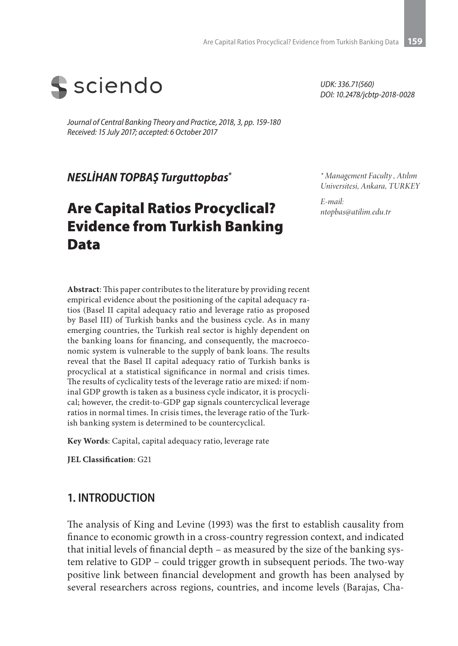

*Journal of Central Banking Theory and Practice, 2018, 3, pp. 159-180 Received: 15 July 2017; accepted: 6 October 2017*

*NESLİHAN TOPBAŞ Turguttopbas\**

# Are Capital Ratios Procyclical? Evidence from Turkish Banking Data

*UDK: 336.71(560) DOI: 10.2478/jcbtp-2018-0028*

*\* Management Faculty , Atılım Universitesi, Ankara, TURKEY*

*E-mail: ntopbas@atilim.edu.tr* 

**Abstract**: This paper contributes to the literature by providing recent empirical evidence about the positioning of the capital adequacy ratios (Basel II capital adequacy ratio and leverage ratio as proposed by Basel III) of Turkish banks and the business cycle. As in many emerging countries, the Turkish real sector is highly dependent on the banking loans for financing, and consequently, the macroeconomic system is vulnerable to the supply of bank loans. The results reveal that the Basel II capital adequacy ratio of Turkish banks is procyclical at a statistical significance in normal and crisis times. The results of cyclicality tests of the leverage ratio are mixed: if nominal GDP growth is taken as a business cycle indicator, it is procyclical; however, the credit-to-GDP gap signals countercyclical leverage ratios in normal times. In crisis times, the leverage ratio of the Turkish banking system is determined to be countercyclical.

**Key Words**: Capital, capital adequacy ratio, leverage rate

**JEL Classification**: G21

### **1. INTRODUCTION**

The analysis of King and Levine (1993) was the first to establish causality from finance to economic growth in a cross-country regression context, and indicated that initial levels of financial depth – as measured by the size of the banking system relative to GDP – could trigger growth in subsequent periods. The two-way positive link between financial development and growth has been analysed by several researchers across regions, countries, and income levels (Barajas, Cha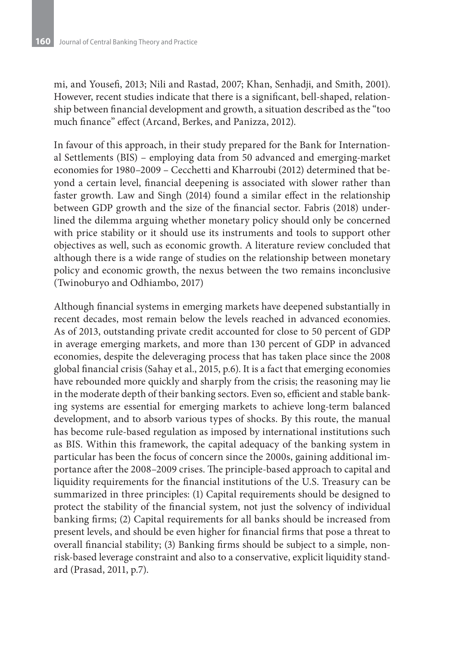mi, and Yousefi, 2013; Nili and Rastad, 2007; Khan, Senhadji, and Smith, 2001). However, recent studies indicate that there is a significant, bell-shaped, relationship between financial development and growth, a situation described as the "too much finance" effect (Arcand, Berkes, and Panizza, 2012).

In favour of this approach, in their study prepared for the Bank for International Settlements (BIS) – employing data from 50 advanced and emerging-market economies for 1980–2009 – Cecchetti and Kharroubi (2012) determined that beyond a certain level, financial deepening is associated with slower rather than faster growth. Law and Singh (2014) found a similar effect in the relationship between GDP growth and the size of the financial sector. Fabris (2018) underlined the dilemma arguing whether monetary policy should only be concerned with price stability or it should use its instruments and tools to support other objectives as well, such as economic growth. A literature review concluded that although there is a wide range of studies on the relationship between monetary policy and economic growth, the nexus between the two remains inconclusive (Twinoburyo and Odhiambo, 2017)

Although financial systems in emerging markets have deepened substantially in recent decades, most remain below the levels reached in advanced economies. As of 2013, outstanding private credit accounted for close to 50 percent of GDP in average emerging markets, and more than 130 percent of GDP in advanced economies, despite the deleveraging process that has taken place since the 2008 global financial crisis (Sahay et al., 2015, p.6). It is a fact that emerging economies have rebounded more quickly and sharply from the crisis; the reasoning may lie in the moderate depth of their banking sectors. Even so, efficient and stable banking systems are essential for emerging markets to achieve long-term balanced development, and to absorb various types of shocks. By this route, the manual has become rule-based regulation as imposed by international institutions such as BIS. Within this framework, the capital adequacy of the banking system in particular has been the focus of concern since the 2000s, gaining additional importance after the 2008–2009 crises. The principle-based approach to capital and liquidity requirements for the financial institutions of the U.S. Treasury can be summarized in three principles: (1) Capital requirements should be designed to protect the stability of the financial system, not just the solvency of individual banking firms; (2) Capital requirements for all banks should be increased from present levels, and should be even higher for financial firms that pose a threat to overall financial stability; (3) Banking firms should be subject to a simple, nonrisk-based leverage constraint and also to a conservative, explicit liquidity standard (Prasad, 2011, p.7).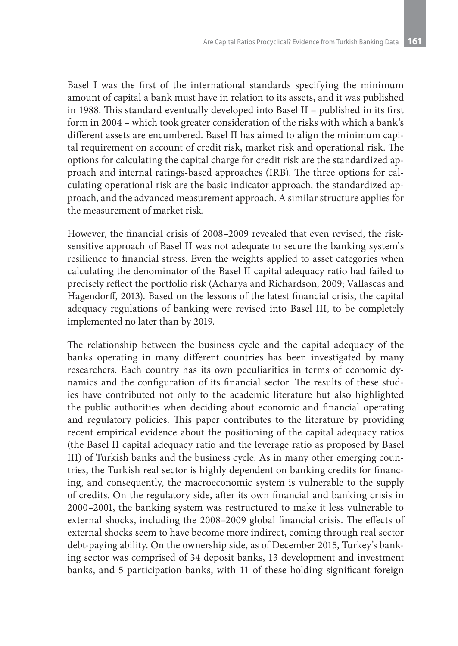Basel I was the first of the international standards specifying the minimum amount of capital a bank must have in relation to its assets, and it was published in 1988. This standard eventually developed into Basel II – published in its first form in 2004 – which took greater consideration of the risks with which a bank's different assets are encumbered. Basel II has aimed to align the minimum capital requirement on account of credit risk, market risk and operational risk. The options for calculating the capital charge for credit risk are the standardized approach and internal ratings-based approaches (IRB). The three options for calculating operational risk are the basic indicator approach, the standardized approach, and the advanced measurement approach. A similar structure applies for the measurement of market risk.

However, the financial crisis of 2008–2009 revealed that even revised, the risksensitive approach of Basel II was not adequate to secure the banking system`s resilience to financial stress. Even the weights applied to asset categories when calculating the denominator of the Basel II capital adequacy ratio had failed to precisely reflect the portfolio risk (Acharya and Richardson, 2009; Vallascas and Hagendorff, 2013). Based on the lessons of the latest financial crisis, the capital adequacy regulations of banking were revised into Basel III, to be completely implemented no later than by 2019.

The relationship between the business cycle and the capital adequacy of the banks operating in many different countries has been investigated by many researchers. Each country has its own peculiarities in terms of economic dynamics and the configuration of its financial sector. The results of these studies have contributed not only to the academic literature but also highlighted the public authorities when deciding about economic and financial operating and regulatory policies. This paper contributes to the literature by providing recent empirical evidence about the positioning of the capital adequacy ratios (the Basel II capital adequacy ratio and the leverage ratio as proposed by Basel III) of Turkish banks and the business cycle. As in many other emerging countries, the Turkish real sector is highly dependent on banking credits for financing, and consequently, the macroeconomic system is vulnerable to the supply of credits. On the regulatory side, after its own financial and banking crisis in 2000–2001, the banking system was restructured to make it less vulnerable to external shocks, including the 2008–2009 global financial crisis. The effects of external shocks seem to have become more indirect, coming through real sector debt-paying ability. On the ownership side, as of December 2015, Turkey's banking sector was comprised of 34 deposit banks, 13 development and investment banks, and 5 participation banks, with 11 of these holding significant foreign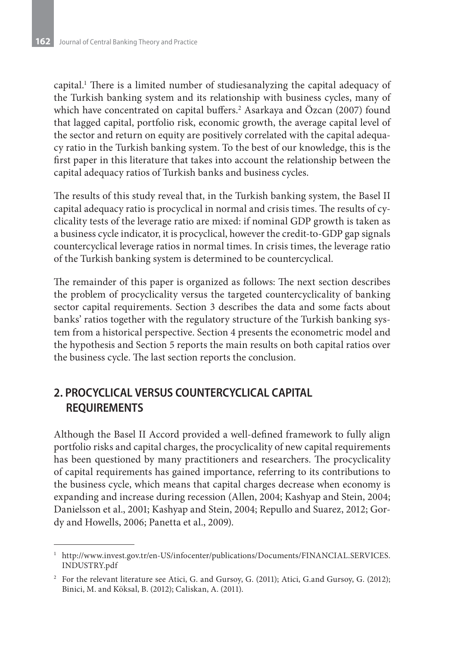capital.1 There is a limited number of studiesanalyzing the capital adequacy of the Turkish banking system and its relationship with business cycles, many of which have concentrated on capital buffers.2 Asarkaya and Özcan (2007) found that lagged capital, portfolio risk, economic growth, the average capital level of the sector and return on equity are positively correlated with the capital adequacy ratio in the Turkish banking system. To the best of our knowledge, this is the first paper in this literature that takes into account the relationship between the capital adequacy ratios of Turkish banks and business cycles.

The results of this study reveal that, in the Turkish banking system, the Basel II capital adequacy ratio is procyclical in normal and crisis times. The results of cyclicality tests of the leverage ratio are mixed: if nominal GDP growth is taken as a business cycle indicator, it is procyclical, however the credit-to-GDP gap signals countercyclical leverage ratios in normal times. In crisis times, the leverage ratio of the Turkish banking system is determined to be countercyclical.

The remainder of this paper is organized as follows: The next section describes the problem of procyclicality versus the targeted countercyclicality of banking sector capital requirements. Section 3 describes the data and some facts about banks' ratios together with the regulatory structure of the Turkish banking system from a historical perspective. Section 4 presents the econometric model and the hypothesis and Section 5 reports the main results on both capital ratios over the business cycle. The last section reports the conclusion.

# **2. PROCYCLICAL VERSUS COUNTERCYCLICAL CAPITAL REQUIREMENTS**

Although the Basel II Accord provided a well-defined framework to fully align portfolio risks and capital charges, the procyclicality of new capital requirements has been questioned by many practitioners and researchers. The procyclicality of capital requirements has gained importance, referring to its contributions to the business cycle, which means that capital charges decrease when economy is expanding and increase during recession (Allen, 2004; Kashyap and Stein, 2004; Danielsson et al., 2001; Kashyap and Stein, 2004; Repullo and Suarez, 2012; Gordy and Howells, 2006; Panetta et al., 2009).

<sup>&</sup>lt;sup>1</sup> http://www.invest.gov.tr/en-US/infocenter/publications/Documents/FINANCIAL.SERVICES. INDUSTRY.pdf

<sup>2</sup> For the relevant literature see Atici, G. and Gursoy, G. (2011); Atici, G.and Gursoy, G. (2012); Binici, M. and Köksal, B. (2012); Caliskan, A. (2011).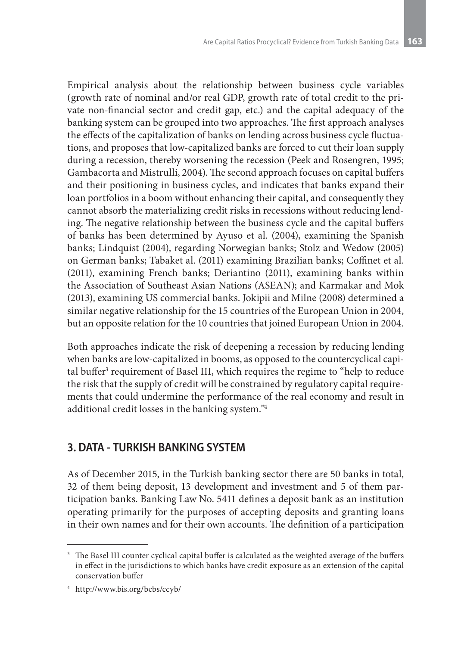Empirical analysis about the relationship between business cycle variables (growth rate of nominal and/or real GDP, growth rate of total credit to the private non-financial sector and credit gap, etc.) and the capital adequacy of the banking system can be grouped into two approaches. The first approach analyses the effects of the capitalization of banks on lending across business cycle fluctuations, and proposes that low-capitalized banks are forced to cut their loan supply during a recession, thereby worsening the recession (Peek and Rosengren, 1995; Gambacorta and Mistrulli, 2004). The second approach focuses on capital buffers and their positioning in business cycles, and indicates that banks expand their loan portfolios in a boom without enhancing their capital, and consequently they cannot absorb the materializing credit risks in recessions without reducing lending. The negative relationship between the business cycle and the capital buffers of banks has been determined by Ayuso et al. (2004), examining the Spanish banks; Lindquist (2004), regarding Norwegian banks; Stolz and Wedow (2005) on German banks; Tabaket al. (2011) examining Brazilian banks; Coffinet et al. (2011), examining French banks; Deriantino (2011), examining banks within the Association of Southeast Asian Nations (ASEAN); and Karmakar and Mok (2013), examining US commercial banks. Jokipii and Milne (2008) determined a similar negative relationship for the 15 countries of the European Union in 2004, but an opposite relation for the 10 countries that joined European Union in 2004.

Both approaches indicate the risk of deepening a recession by reducing lending when banks are low-capitalized in booms, as opposed to the countercyclical capital buffer<sup>3</sup> requirement of Basel III, which requires the regime to "help to reduce the risk that the supply of credit will be constrained by regulatory capital requirements that could undermine the performance of the real economy and result in additional credit losses in the banking system."4

# **3. DATA - TURKISH BANKING SYSTEM**

As of December 2015, in the Turkish banking sector there are 50 banks in total, 32 of them being deposit, 13 development and investment and 5 of them participation banks. Banking Law No. 5411 defines a deposit bank as an institution operating primarily for the purposes of accepting deposits and granting loans in their own names and for their own accounts. The definition of a participation

<sup>&</sup>lt;sup>3</sup> The Basel III counter cyclical capital buffer is calculated as the weighted average of the buffers in effect in the jurisdictions to which banks have credit exposure as an extension of the capital conservation buffer

<sup>4</sup> http://www.bis.org/bcbs/ccyb/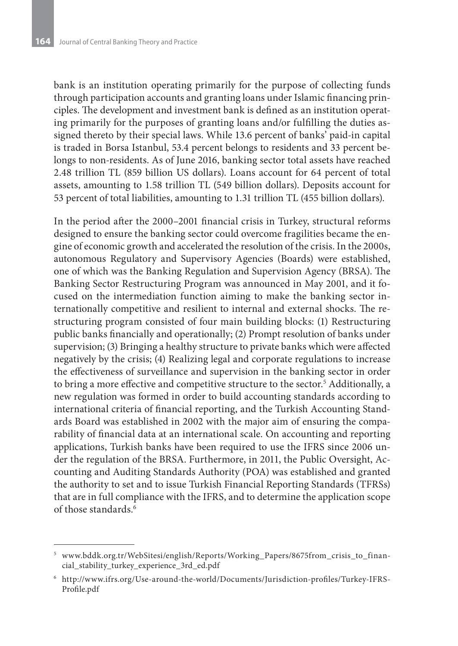bank is an institution operating primarily for the purpose of collecting funds through participation accounts and granting loans under Islamic financing principles. The development and investment bank is defined as an institution operating primarily for the purposes of granting loans and/or fulfilling the duties assigned thereto by their special laws. While 13.6 percent of banks' paid-in capital is traded in Borsa Istanbul, 53.4 percent belongs to residents and 33 percent belongs to non-residents. As of June 2016, banking sector total assets have reached 2.48 trillion TL (859 billion US dollars). Loans account for 64 percent of total assets, amounting to 1.58 trillion TL (549 billion dollars). Deposits account for 53 percent of total liabilities, amounting to 1.31 trillion TL (455 billion dollars).

In the period after the 2000–2001 financial crisis in Turkey, structural reforms designed to ensure the banking sector could overcome fragilities became the engine of economic growth and accelerated the resolution of the crisis. In the 2000s, autonomous Regulatory and Supervisory Agencies (Boards) were established, one of which was the Banking Regulation and Supervision Agency (BRSA). The Banking Sector Restructuring Program was announced in May 2001, and it focused on the intermediation function aiming to make the banking sector internationally competitive and resilient to internal and external shocks. The restructuring program consisted of four main building blocks: (1) Restructuring public banks financially and operationally; (2) Prompt resolution of banks under supervision; (3) Bringing a healthy structure to private banks which were affected negatively by the crisis; (4) Realizing legal and corporate regulations to increase the effectiveness of surveillance and supervision in the banking sector in order to bring a more effective and competitive structure to the sector.5 Additionally, a new regulation was formed in order to build accounting standards according to international criteria of financial reporting, and the Turkish Accounting Standards Board was established in 2002 with the major aim of ensuring the comparability of financial data at an international scale. On accounting and reporting applications, Turkish banks have been required to use the IFRS since 2006 under the regulation of the BRSA. Furthermore, in 2011, the Public Oversight, Accounting and Auditing Standards Authority (POA) was established and granted the authority to set and to issue Turkish Financial Reporting Standards (TFRSs) that are in full compliance with the IFRS, and to determine the application scope of those standards.6

<sup>5</sup> www.bddk.org.tr/WebSitesi/english/Reports/Working\_Papers/8675from\_crisis\_to\_financial\_stability\_turkey\_experience\_3rd\_ed.pdf

<sup>6</sup> http://www.ifrs.org/Use-around-the-world/Documents/Jurisdiction-profiles/Turkey-IFRS-Profile.pdf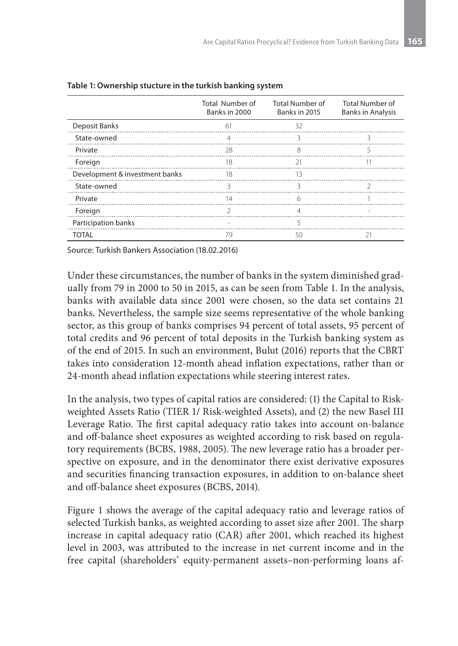|                                | Total Number of<br>Banks in 2000 | <b>Total Number of</b><br>Banks in 2015 | <b>Total Number of</b><br><b>Banks in Analysis</b> |
|--------------------------------|----------------------------------|-----------------------------------------|----------------------------------------------------|
| Deposit Banks                  | 61                               | 32                                      |                                                    |
| State-owned                    | 4                                | 3                                       |                                                    |
| Private                        | 28                               | 8                                       |                                                    |
| Foreign                        | 18                               |                                         |                                                    |
| Development & investment banks | $\overline{\phantom{1}}$ 18      | 13                                      |                                                    |
| State-owned                    | 3                                | 3                                       |                                                    |
| Private                        | 14                               | 6                                       |                                                    |
| Foreign                        |                                  | 4                                       |                                                    |
| Participation banks            | the contract of the con-         | 5                                       |                                                    |
| <b>TOTAL</b>                   | 79                               | 50                                      |                                                    |

**Table 1: Ownership stucture in the turkish banking system** 

Source: Turkish Bankers Association (18.02.2016)

Under these circumstances, the number of banks in the system diminished gradually from 79 in 2000 to 50 in 2015, as can be seen from Table 1. In the analysis, banks with available data since 2001 were chosen, so the data set contains 21 banks. Nevertheless, the sample size seems representative of the whole banking sector, as this group of banks comprises 94 percent of total assets, 95 percent of total credits and 96 percent of total deposits in the Turkish banking system as of the end of 2015. In such an environment, Bulut (2016) reports that the CBRT takes into consideration 12-month ahead inflation expectations, rather than or 24-month ahead inflation expectations while steering interest rates.

In the analysis, two types of capital ratios are considered: (1) the Capital to Riskweighted Assets Ratio (TIER 1/ Risk-weighted Assets), and (2) the new Basel III Leverage Ratio. The first capital adequacy ratio takes into account on-balance and off-balance sheet exposures as weighted according to risk based on regulatory requirements (BCBS, 1988, 2005). The new leverage ratio has a broader perspective on exposure, and in the denominator there exist derivative exposures and securities financing transaction exposures, in addition to on-balance sheet and off-balance sheet exposures (BCBS, 2014).

Figure 1 shows the average of the capital adequacy ratio and leverage ratios of selected Turkish banks, as weighted according to asset size after 2001. The sharp increase in capital adequacy ratio (CAR) after 2001, which reached its highest level in 2003, was attributed to the increase in net current income and in the free capital (shareholders' equity-permanent assets–non-performing loans af-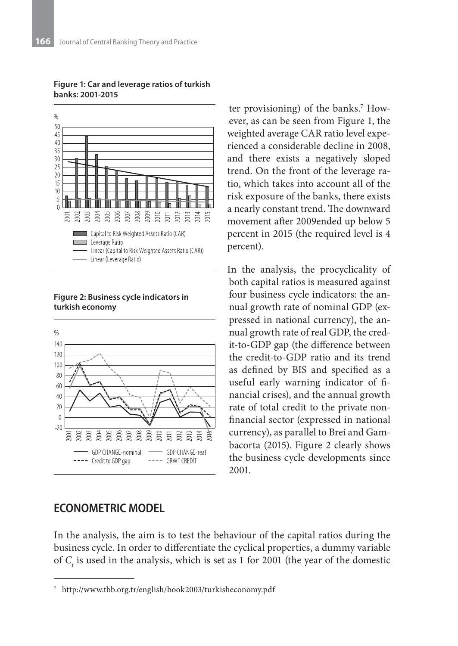

**Figure 1: Car and leverage ratios of turkish banks: 2001-2015**

**Figure 2: Business cycle indicators in turkish economy**



### **ECONOMETRIC MODEL**

ter provisioning) of the banks.7 However, as can be seen from Figure 1, the weighted average CAR ratio level experienced a considerable decline in 2008, and there exists a negatively sloped trend. On the front of the leverage ratio, which takes into account all of the risk exposure of the banks, there exists a nearly constant trend. The downward movement after 2009ended up below 5 percent in 2015 (the required level is 4 percent).

In the analysis, the procyclicality of both capital ratios is measured against four business cycle indicators: the annual growth rate of nominal GDP (expressed in national currency), the annual growth rate of real GDP, the credit-to-GDP gap (the difference between the credit-to-GDP ratio and its trend as defined by BIS and specified as a useful early warning indicator of financial crises), and the annual growth rate of total credit to the private nonfinancial sector (expressed in national currency), as parallel to Brei and Gambacorta (2015). Figure 2 clearly shows the business cycle developments since 2001.

In the analysis, the aim is to test the behaviour of the capital ratios during the business cycle. In order to differentiate the cyclical properties, a dummy variable of  $C_t$  is used in the analysis, which is set as 1 for 2001 (the year of the domestic

<sup>7</sup> http://www.tbb.org.tr/english/book2003/turkisheconomy.pdf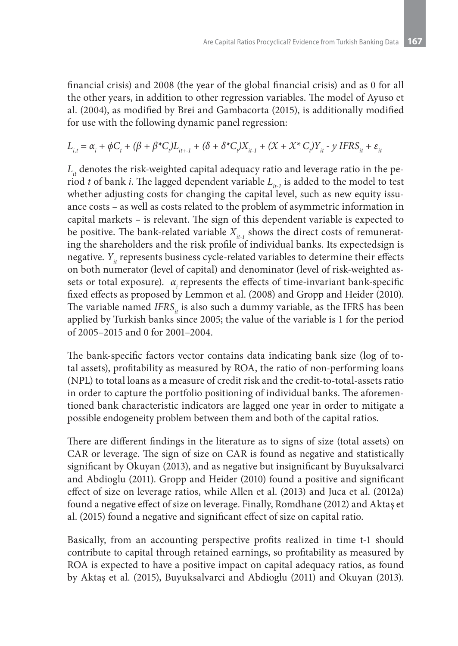financial crisis) and 2008 (the year of the global financial crisis) and as 0 for all the other years, in addition to other regression variables. The model of Ayuso et al. (2004), as modified by Brei and Gambacorta (2015), is additionally modified for use with the following dynamic panel regression:

$$
L_{i,t} = \alpha_i + \phi C_t + (\beta + \beta^* C_t)L_{it+1} + (\delta + \delta^* C_t)X_{it-1} + (\mathcal{X} + \mathcal{X}^* C_t)Y_{it} - \gamma IFRS_{it} + \varepsilon_{it}
$$

 $L<sub>i</sub>$  denotes the risk-weighted capital adequacy ratio and leverage ratio in the period *t* of bank *i*. The lagged dependent variable  $L_{i,t}$  is added to the model to test whether adjusting costs for changing the capital level, such as new equity issuance costs – as well as costs related to the problem of asymmetric information in capital markets – is relevant. The sign of this dependent variable is expected to be positive. The bank-related variable  $X_{i+1}$  shows the direct costs of remunerating the shareholders and the risk profile of individual banks. Its expectedsign is negative. *Y<sub>it</sub>* represents business cycle-related variables to determine their effects on both numerator (level of capital) and denominator (level of risk-weighted assets or total exposure). *αi* represents the effects of time-invariant bank-specific fixed effects as proposed by Lemmon et al. (2008) and Gropp and Heider (2010). The variable named *IFRS<sub>it</sub>* is also such a dummy variable, as the IFRS has been applied by Turkish banks since 2005; the value of the variable is 1 for the period of 2005–2015 and 0 for 2001–2004.

The bank-specific factors vector contains data indicating bank size (log of total assets), profitability as measured by ROA, the ratio of non-performing loans (NPL) to total loans as a measure of credit risk and the credit-to-total-assets ratio in order to capture the portfolio positioning of individual banks. The aforementioned bank characteristic indicators are lagged one year in order to mitigate a possible endogeneity problem between them and both of the capital ratios.

There are different findings in the literature as to signs of size (total assets) on CAR or leverage. The sign of size on CAR is found as negative and statistically significant by Okuyan (2013), and as negative but insignificant by Buyuksalvarci and Abdioglu (2011). Gropp and Heider (2010) found a positive and significant effect of size on leverage ratios, while Allen et al. (2013) and Juca et al. (2012a) found a negative effect of size on leverage. Finally, Romdhane (2012) and Aktaş et al. (2015) found a negative and significant effect of size on capital ratio.

Basically, from an accounting perspective profits realized in time t-1 should contribute to capital through retained earnings, so profitability as measured by ROA is expected to have a positive impact on capital adequacy ratios, as found by Aktaş et al. (2015), Buyuksalvarci and Abdioglu (2011) and Okuyan (2013).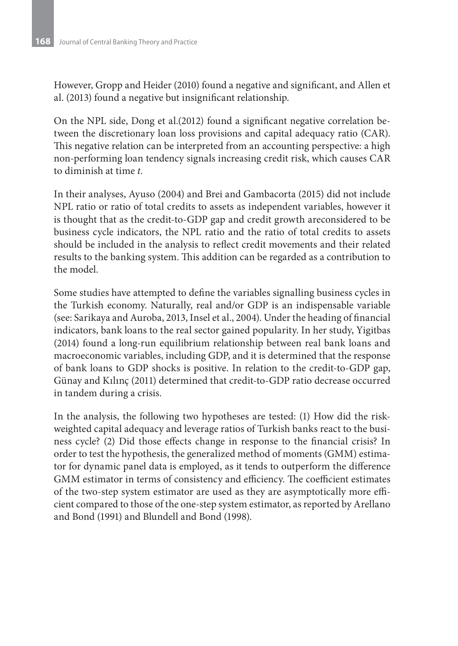However, Gropp and Heider (2010) found a negative and significant, and Allen et al. (2013) found a negative but insignificant relationship.

On the NPL side, Dong et al.(2012) found a significant negative correlation between the discretionary loan loss provisions and capital adequacy ratio (CAR). This negative relation can be interpreted from an accounting perspective: a high non-performing loan tendency signals increasing credit risk, which causes CAR to diminish at time *t*.

In their analyses, Ayuso (2004) and Brei and Gambacorta (2015) did not include NPL ratio or ratio of total credits to assets as independent variables, however it is thought that as the credit-to-GDP gap and credit growth areconsidered to be business cycle indicators, the NPL ratio and the ratio of total credits to assets should be included in the analysis to reflect credit movements and their related results to the banking system. This addition can be regarded as a contribution to the model.

Some studies have attempted to define the variables signalling business cycles in the Turkish economy. Naturally, real and/or GDP is an indispensable variable (see: Sarikaya and Auroba, 2013, Insel et al., 2004). Under the heading of financial indicators, bank loans to the real sector gained popularity. In her study, Yigitbas (2014) found a long-run equilibrium relationship between real bank loans and macroeconomic variables, including GDP, and it is determined that the response of bank loans to GDP shocks is positive. In relation to the credit-to-GDP gap, Günay and Kılınç (2011) determined that credit-to-GDP ratio decrease occurred in tandem during a crisis.

In the analysis, the following two hypotheses are tested: (1) How did the riskweighted capital adequacy and leverage ratios of Turkish banks react to the business cycle? (2) Did those effects change in response to the financial crisis? In order to test the hypothesis, the generalized method of moments (GMM) estimator for dynamic panel data is employed, as it tends to outperform the difference GMM estimator in terms of consistency and efficiency. The coefficient estimates of the two-step system estimator are used as they are asymptotically more efficient compared to those of the one-step system estimator, as reported by Arellano and Bond (1991) and Blundell and Bond (1998).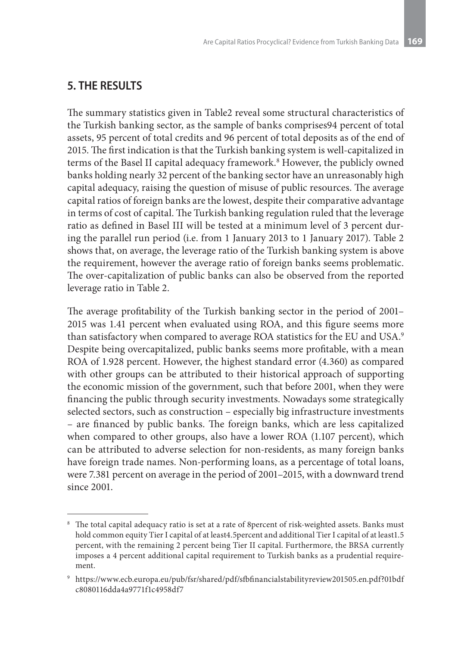# **5. THE RESULTS**

The summary statistics given in Table2 reveal some structural characteristics of the Turkish banking sector, as the sample of banks comprises94 percent of total assets, 95 percent of total credits and 96 percent of total deposits as of the end of 2015. The first indication is that the Turkish banking system is well-capitalized in terms of the Basel II capital adequacy framework.8 However, the publicly owned banks holding nearly 32 percent of the banking sector have an unreasonably high capital adequacy, raising the question of misuse of public resources. The average capital ratios of foreign banks are the lowest, despite their comparative advantage in terms of cost of capital. The Turkish banking regulation ruled that the leverage ratio as defined in Basel III will be tested at a minimum level of 3 percent during the parallel run period (i.e. from 1 January 2013 to 1 January 2017). Table 2 shows that, on average, the leverage ratio of the Turkish banking system is above the requirement, however the average ratio of foreign banks seems problematic. The over-capitalization of public banks can also be observed from the reported leverage ratio in Table 2.

The average profitability of the Turkish banking sector in the period of 2001– 2015 was 1.41 percent when evaluated using ROA, and this figure seems more than satisfactory when compared to average ROA statistics for the EU and USA.9 Despite being overcapitalized, public banks seems more profitable, with a mean ROA of 1.928 percent. However, the highest standard error (4.360) as compared with other groups can be attributed to their historical approach of supporting the economic mission of the government, such that before 2001, when they were financing the public through security investments. Nowadays some strategically selected sectors, such as construction – especially big infrastructure investments – are financed by public banks. The foreign banks, which are less capitalized when compared to other groups, also have a lower ROA (1.107 percent), which can be attributed to adverse selection for non-residents, as many foreign banks have foreign trade names. Non-performing loans, as a percentage of total loans, were 7.381 percent on average in the period of 2001–2015, with a downward trend since 2001.

<sup>&</sup>lt;sup>8</sup> The total capital adequacy ratio is set at a rate of 8percent of risk-weighted assets. Banks must hold common equity Tier I capital of at least4.5percent and additional Tier I capital of at least1.5 percent, with the remaining 2 percent being Tier II capital. Furthermore, the BRSA currently imposes a 4 percent additional capital requirement to Turkish banks as a prudential requirement.

<sup>9</sup> https://www.ecb.europa.eu/pub/fsr/shared/pdf/sfbfinancialstabilityreview201505.en.pdf?01bdf c8080116dda4a9771f1c4958df7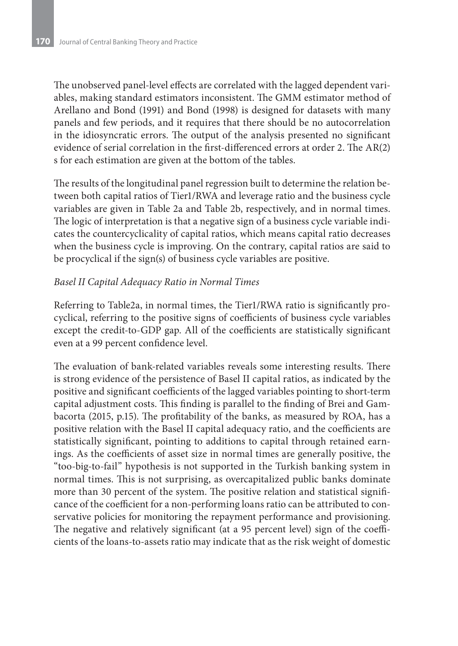The unobserved panel-level effects are correlated with the lagged dependent variables, making standard estimators inconsistent. The GMM estimator method of Arellano and Bond (1991) and Bond (1998) is designed for datasets with many panels and few periods, and it requires that there should be no autocorrelation in the idiosyncratic errors. The output of the analysis presented no significant evidence of serial correlation in the first-differenced errors at order 2. The AR(2) s for each estimation are given at the bottom of the tables.

The results of the longitudinal panel regression built to determine the relation between both capital ratios of Tier1/RWA and leverage ratio and the business cycle variables are given in Table 2a and Table 2b, respectively, and in normal times. The logic of interpretation is that a negative sign of a business cycle variable indicates the countercyclicality of capital ratios, which means capital ratio decreases when the business cycle is improving. On the contrary, capital ratios are said to be procyclical if the sign(s) of business cycle variables are positive.

### *Basel II Capital Adequacy Ratio in Normal Times*

Referring to Table2a, in normal times, the Tier1/RWA ratio is significantly procyclical, referring to the positive signs of coefficients of business cycle variables except the credit-to-GDP gap. All of the coefficients are statistically significant even at a 99 percent confidence level.

The evaluation of bank-related variables reveals some interesting results. There is strong evidence of the persistence of Basel II capital ratios, as indicated by the positive and significant coefficients of the lagged variables pointing to short-term capital adjustment costs. This finding is parallel to the finding of Brei and Gambacorta (2015, p.15). The profitability of the banks, as measured by ROA, has a positive relation with the Basel II capital adequacy ratio, and the coefficients are statistically significant, pointing to additions to capital through retained earnings. As the coefficients of asset size in normal times are generally positive, the "too-big-to-fail" hypothesis is not supported in the Turkish banking system in normal times. This is not surprising, as overcapitalized public banks dominate more than 30 percent of the system. The positive relation and statistical significance of the coefficient for a non-performing loans ratio can be attributed to conservative policies for monitoring the repayment performance and provisioning. The negative and relatively significant (at a 95 percent level) sign of the coefficients of the loans-to-assets ratio may indicate that as the risk weight of domestic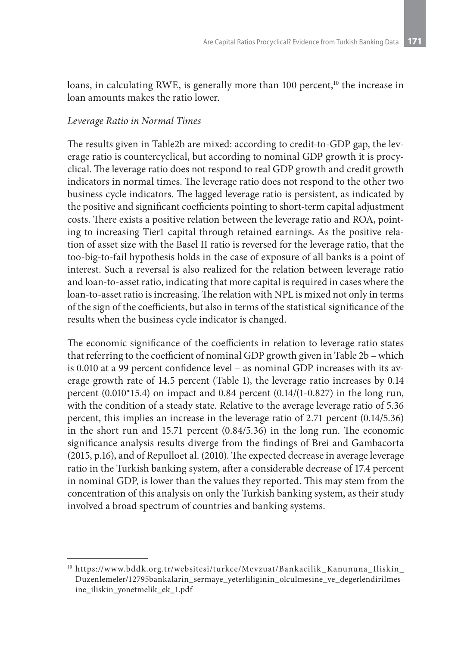loans, in calculating RWE, is generally more than 100 percent,<sup>10</sup> the increase in loan amounts makes the ratio lower.

### *Leverage Ratio in Normal Times*

The results given in Table2b are mixed: according to credit-to-GDP gap, the leverage ratio is countercyclical, but according to nominal GDP growth it is procyclical. The leverage ratio does not respond to real GDP growth and credit growth indicators in normal times. The leverage ratio does not respond to the other two business cycle indicators. The lagged leverage ratio is persistent, as indicated by the positive and significant coefficients pointing to short-term capital adjustment costs. There exists a positive relation between the leverage ratio and ROA, pointing to increasing Tier1 capital through retained earnings. As the positive relation of asset size with the Basel II ratio is reversed for the leverage ratio, that the too-big-to-fail hypothesis holds in the case of exposure of all banks is a point of interest. Such a reversal is also realized for the relation between leverage ratio and loan-to-asset ratio, indicating that more capital is required in cases where the loan-to-asset ratio is increasing. The relation with NPL is mixed not only in terms of the sign of the coefficients, but also in terms of the statistical significance of the results when the business cycle indicator is changed.

The economic significance of the coefficients in relation to leverage ratio states that referring to the coefficient of nominal GDP growth given in Table 2b – which is 0.010 at a 99 percent confidence level – as nominal GDP increases with its average growth rate of 14.5 percent (Table 1), the leverage ratio increases by 0.14 percent (0.010\*15.4) on impact and 0.84 percent (0.14/(1-0.827) in the long run, with the condition of a steady state. Relative to the average leverage ratio of 5.36 percent, this implies an increase in the leverage ratio of 2.71 percent (0.14/5.36) in the short run and 15.71 percent (0.84/5.36) in the long run. The economic significance analysis results diverge from the findings of Brei and Gambacorta (2015, p.16), and of Repulloet al. (2010). The expected decrease in average leverage ratio in the Turkish banking system, after a considerable decrease of 17.4 percent in nominal GDP, is lower than the values they reported. This may stem from the concentration of this analysis on only the Turkish banking system, as their study involved a broad spectrum of countries and banking systems.

<sup>&</sup>lt;sup>10</sup> https://www.bddk.org.tr/websitesi/turkce/Mevzuat/Bankacilik\_Kanununa\_Iliskin\_ Duzenlemeler/12795bankalarin\_sermaye\_yeterliliginin\_olculmesine\_ve\_degerlendirilmesine\_iliskin\_yonetmelik\_ek\_1.pdf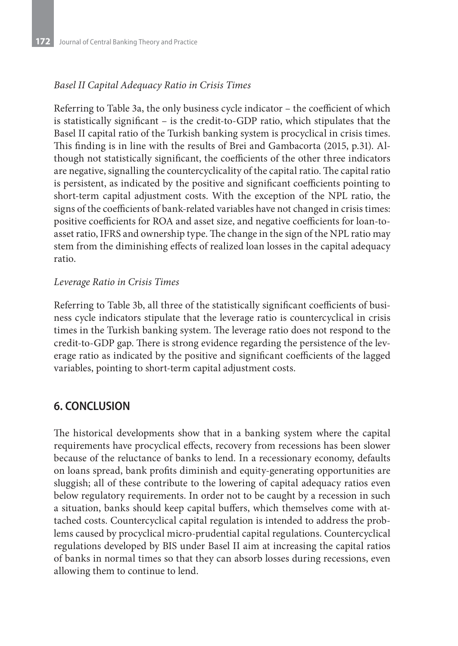### *Basel II Capital Adequacy Ratio in Crisis Times*

Referring to Table 3a, the only business cycle indicator – the coefficient of which is statistically significant – is the credit-to-GDP ratio, which stipulates that the Basel II capital ratio of the Turkish banking system is procyclical in crisis times. This finding is in line with the results of Brei and Gambacorta (2015, p.31). Although not statistically significant, the coefficients of the other three indicators are negative, signalling the countercyclicality of the capital ratio. The capital ratio is persistent, as indicated by the positive and significant coefficients pointing to short-term capital adjustment costs. With the exception of the NPL ratio, the signs of the coefficients of bank-related variables have not changed in crisis times: positive coefficients for ROA and asset size, and negative coefficients for loan-toasset ratio, IFRS and ownership type. The change in the sign of the NPL ratio may stem from the diminishing effects of realized loan losses in the capital adequacy ratio.

### *Leverage Ratio in Crisis Times*

Referring to Table 3b, all three of the statistically significant coefficients of business cycle indicators stipulate that the leverage ratio is countercyclical in crisis times in the Turkish banking system. The leverage ratio does not respond to the credit-to-GDP gap. There is strong evidence regarding the persistence of the leverage ratio as indicated by the positive and significant coefficients of the lagged variables, pointing to short-term capital adjustment costs.

# **6. CONCLUSION**

The historical developments show that in a banking system where the capital requirements have procyclical effects, recovery from recessions has been slower because of the reluctance of banks to lend. In a recessionary economy, defaults on loans spread, bank profits diminish and equity-generating opportunities are sluggish; all of these contribute to the lowering of capital adequacy ratios even below regulatory requirements. In order not to be caught by a recession in such a situation, banks should keep capital buffers, which themselves come with attached costs. Countercyclical capital regulation is intended to address the problems caused by procyclical micro-prudential capital regulations. Countercyclical regulations developed by BIS under Basel II aim at increasing the capital ratios of banks in normal times so that they can absorb losses during recessions, even allowing them to continue to lend.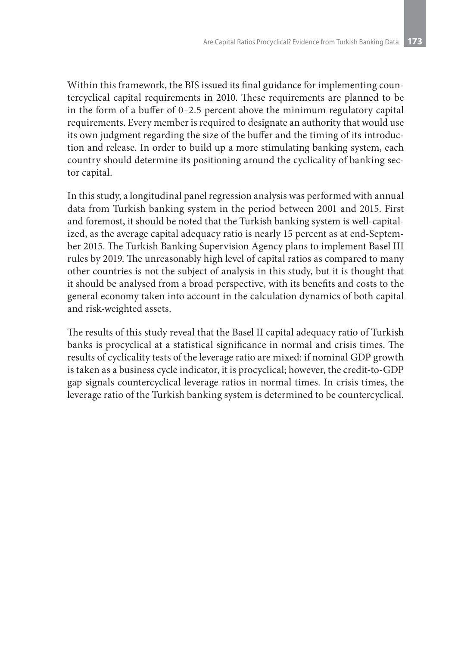Within this framework, the BIS issued its final guidance for implementing countercyclical capital requirements in 2010. These requirements are planned to be in the form of a buffer of 0–2.5 percent above the minimum regulatory capital requirements. Every member is required to designate an authority that would use its own judgment regarding the size of the buffer and the timing of its introduction and release. In order to build up a more stimulating banking system, each country should determine its positioning around the cyclicality of banking sector capital.

In this study, a longitudinal panel regression analysis was performed with annual data from Turkish banking system in the period between 2001 and 2015. First and foremost, it should be noted that the Turkish banking system is well-capitalized, as the average capital adequacy ratio is nearly 15 percent as at end-September 2015. The Turkish Banking Supervision Agency plans to implement Basel III rules by 2019. The unreasonably high level of capital ratios as compared to many other countries is not the subject of analysis in this study, but it is thought that it should be analysed from a broad perspective, with its benefits and costs to the general economy taken into account in the calculation dynamics of both capital and risk-weighted assets.

The results of this study reveal that the Basel II capital adequacy ratio of Turkish banks is procyclical at a statistical significance in normal and crisis times. The results of cyclicality tests of the leverage ratio are mixed: if nominal GDP growth is taken as a business cycle indicator, it is procyclical; however, the credit-to-GDP gap signals countercyclical leverage ratios in normal times. In crisis times, the leverage ratio of the Turkish banking system is determined to be countercyclical.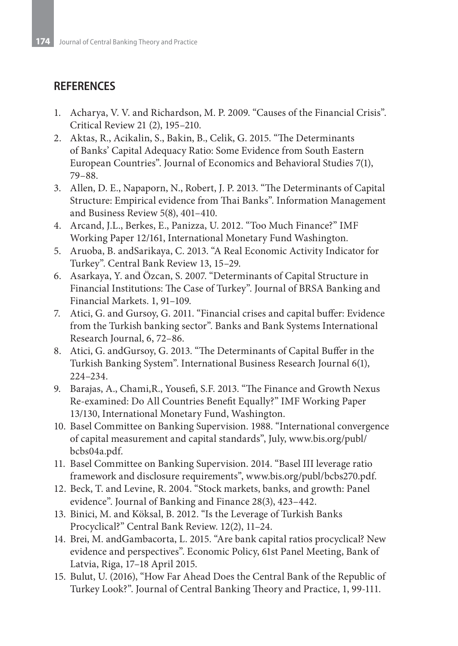## **REFERENCES**

- 1. Acharya, V. V. and Richardson, M. P. 2009. "Causes of the Financial Crisis". Critical Review 21 (2), 195–210.
- 2. Aktas, R., Acikalin, S., Bakin, B., Celik, G. 2015. "The Determinants of Banks' Capital Adequacy Ratio: Some Evidence from South Eastern European Countries". Journal of Economics and Behavioral Studies 7(1), 79–88.
- 3. Allen, D. E., Napaporn, N., Robert, J. P. 2013. "The Determinants of Capital Structure: Empirical evidence from Thai Banks". Information Management and Business Review 5(8), 401–410.
- 4. Arcand, J.L., Berkes, E., Panizza, U. 2012. "Too Much Finance?" IMF Working Paper 12/161, International Monetary Fund Washington.
- 5. Aruoba, B. andSarikaya, C. 2013. "A Real Economic Activity Indicator for Turkey". Central Bank Review 13, 15–29.
- 6. Asarkaya, Y. and Özcan, S. 2007. "Determinants of Capital Structure in Financial Institutions: The Case of Turkey". Journal of BRSA Banking and Financial Markets. 1, 91–109.
- 7. Atici, G. and Gursoy, G. 2011. "Financial crises and capital buffer: Evidence from the Turkish banking sector". Banks and Bank Systems International Research Journal, 6, 72–86.
- 8. Atici, G. andGursoy, G. 2013. "The Determinants of Capital Buffer in the Turkish Banking System". International Business Research Journal 6(1), 224–234.
- 9. Barajas, A., Chami,R., Yousefi, S.F. 2013. "The Finance and Growth Nexus Re-examined: Do All Countries Benefit Equally?" IMF Working Paper 13/130, International Monetary Fund, Washington.
- 10. Basel Committee on Banking Supervision. 1988. "International convergence of capital measurement and capital standards", July, www.bis.org/publ/ bcbs04a.pdf.
- 11. Basel Committee on Banking Supervision. 2014. "Basel III leverage ratio framework and disclosure requirements", www.bis.org/publ/bcbs270.pdf.
- 12. Beck, T. and Levine, R. 2004. "Stock markets, banks, and growth: Panel evidence". Journal of Banking and Finance 28(3), 423–442.
- 13. Binici, M. and Köksal, B. 2012. "Is the Leverage of Turkish Banks Procyclical?" Central Bank Review. 12(2), 11–24.
- 14. Brei, M. andGambacorta, L. 2015. "Are bank capital ratios procyclical? New evidence and perspectives". Economic Policy, 61st Panel Meeting, Bank of Latvia, Riga, 17–18 April 2015.
- 15. Bulut, U. (2016), "How Far Ahead Does the Central Bank of the Republic of Turkey Look?". Journal of Central Banking Theory and Practice, 1, 99-111.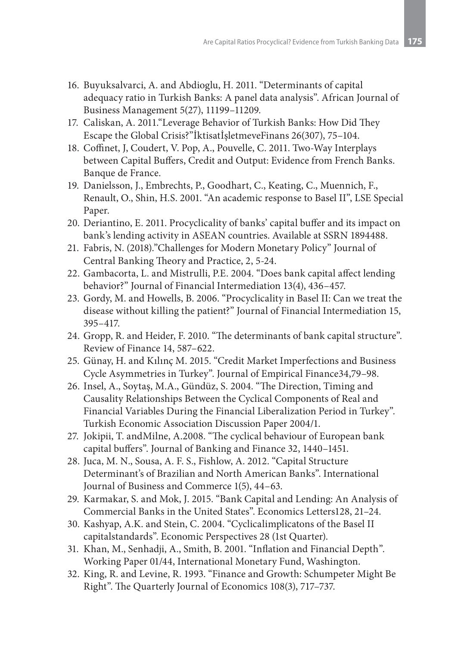- 16. Buyuksalvarci, A. and Abdioglu, H. 2011. "Determinants of capital adequacy ratio in Turkish Banks: A panel data analysis". African Journal of Business Management 5(27), 11199–11209.
- 17. Caliskan, A. 2011."Leverage Behavior of Turkish Banks: How Did They Escape the Global Crisis?"İktisatİşletmeveFinans 26(307), 75–104.
- 18. Coffinet, J, Coudert, V. Pop, A., Pouvelle, C. 2011. Two-Way Interplays between Capital Buffers, Credit and Output: Evidence from French Banks. Banque de France.
- 19. Danielsson, J., Embrechts, P., Goodhart, C., Keating, C., Muennich, F., Renault, O., Shin, H.S. 2001. "An academic response to Basel II", LSE Special Paper.
- 20. Deriantino, E. 2011. Procyclicality of banks' capital buffer and its impact on bank's lending activity in ASEAN countries. Available at SSRN 1894488.
- 21. Fabris, N. (2018)."Challenges for Modern Monetary Policy" Journal of Central Banking Theory and Practice, 2, 5-24.
- 22. Gambacorta, L. and Mistrulli, P.E. 2004. "Does bank capital affect lending behavior?" Journal of Financial Intermediation 13(4), 436–457.
- 23. Gordy, M. and Howells, B. 2006. "Procyclicality in Basel II: Can we treat the disease without killing the patient?" Journal of Financial Intermediation 15, 395–417.
- 24. Gropp, R. and Heider, F. 2010. "The determinants of bank capital structure". Review of Finance 14, 587–622.
- 25. Günay, H. and Kılınç M. 2015. "Credit Market Imperfections and Business Cycle Asymmetries in Turkey". Journal of Empirical Finance34,79–98.
- 26. Insel, A., Soytaş, M.A., Gündüz, S. 2004. "The Direction, Timing and Causality Relationships Between the Cyclical Components of Real and Financial Variables During the Financial Liberalization Period in Turkey". Turkish Economic Association Discussion Paper 2004/1.
- 27. Jokipii, T. andMilne, A.2008. "The cyclical behaviour of European bank capital buffers". Journal of Banking and Finance 32, 1440–1451.
- 28. Juca, M. N., Sousa, A. F. S., Fishlow, A. 2012. "Capital Structure Determinant's of Brazilian and North American Banks". International Journal of Business and Commerce 1(5), 44–63.
- 29. Karmakar, S. and Mok, J. 2015. "Bank Capital and Lending: An Analysis of Commercial Banks in the United States". Economics Letters128, 21–24.
- 30. Kashyap, A.K. and Stein, C. 2004. "Cyclicalimplicatons of the Basel II capitalstandards". Economic Perspectives 28 (1st Quarter).
- 31. Khan, M., Senhadji, A., Smith, B. 2001. "Inflation and Financial Depth". Working Paper 01/44, International Monetary Fund, Washington.
- 32. King, R. and Levine, R. 1993. "Finance and Growth: Schumpeter Might Be Right". The Quarterly Journal of Economics 108(3), 717–737.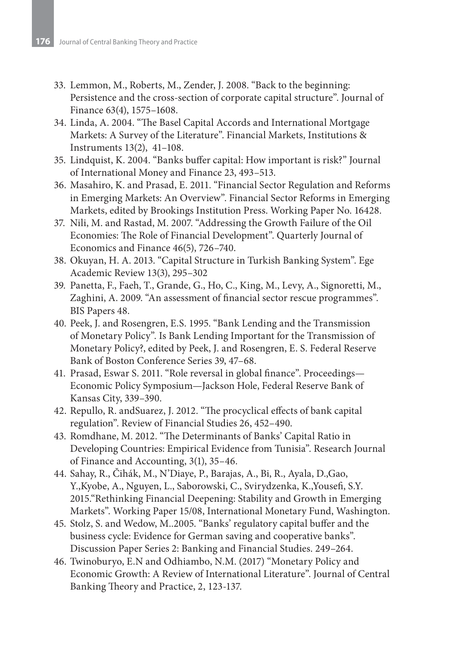- 33. Lemmon, M., Roberts, M., Zender, J. 2008. "Back to the beginning: Persistence and the cross-section of corporate capital structure". Journal of Finance 63(4), 1575–1608.
- 34. Linda, A. 2004. "The Basel Capital Accords and International Mortgage Markets: A Survey of the Literature". Financial Markets, Institutions & Instruments 13(2), 41–108.
- 35. Lindquist, K. 2004. "Banks buffer capital: How important is risk?" Journal of International Money and Finance 23, 493–513.
- 36. Masahiro, K. and Prasad, E. 2011. "Financial Sector Regulation and Reforms in Emerging Markets: An Overview". Financial Sector Reforms in Emerging Markets, edited by Brookings Institution Press. Working Paper No. 16428.
- 37. Nili, M. and Rastad, M. 2007. "Addressing the Growth Failure of the Oil Economies: The Role of Financial Development". Quarterly Journal of Economics and Finance 46(5), 726–740.
- 38. Okuyan, H. A. 2013. "Capital Structure in Turkish Banking System". Ege Academic Review 13(3), 295–302
- 39. Panetta, F., Faeh, T., Grande, G., Ho, C., King, M., Levy, A., Signoretti, M., Zaghini, A. 2009. "An assessment of financial sector rescue programmes". BIS Papers 48.
- 40. Peek, J. and Rosengren, E.S. 1995. "Bank Lending and the Transmission of Monetary Policy". Is Bank Lending Important for the Transmission of Monetary Policy?, edited by Peek, J. and Rosengren, E. S. Federal Reserve Bank of Boston Conference Series 39, 47–68.
- 41. Prasad, Eswar S. 2011. "Role reversal in global finance". Proceedings— Economic Policy Symposium—Jackson Hole, Federal Reserve Bank of Kansas City, 339–390.
- 42. Repullo, R. andSuarez, J. 2012. "The procyclical effects of bank capital regulation". Review of Financial Studies 26, 452–490.
- 43. Romdhane, M. 2012. "The Determinants of Banks' Capital Ratio in Developing Countries: Empirical Evidence from Tunisia". Research Journal of Finance and Accounting, 3(1), 35–46.
- 44. Sahay, R., Čihák, M., N'Diaye, P., Barajas, A., Bi, R., Ayala, D.,Gao, Y.,Kyobe, A., Nguyen, L., Saborowski, C., Svirydzenka, K.,Yousefi, S.Y. 2015."Rethinking Financial Deepening: Stability and Growth in Emerging Markets". Working Paper 15/08, International Monetary Fund, Washington.
- 45. Stolz, S. and Wedow, M..2005. "Banks' regulatory capital buffer and the business cycle: Evidence for German saving and cooperative banks". Discussion Paper Series 2: Banking and Financial Studies. 249–264.
- 46. Twinoburyo, E.N and Odhiambo, N.M. (2017) "Monetary Policy and Economic Growth: A Review of International Literature". Journal of Central Banking Theory and Practice, 2, 123-137.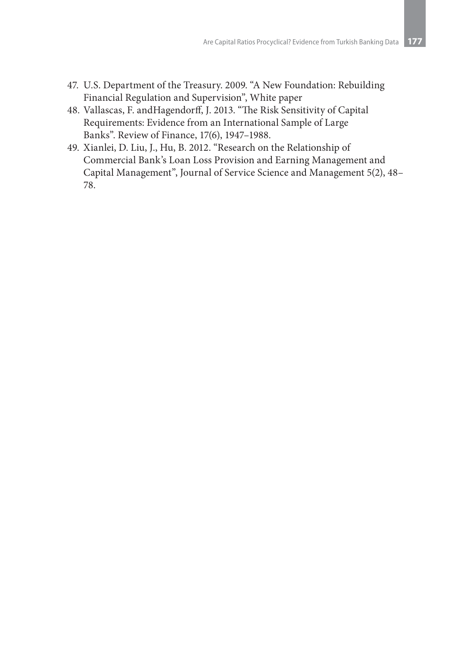- 47. U.S. Department of the Treasury. 2009. "A New Foundation: Rebuilding Financial Regulation and Supervision", White paper
- 48. Vallascas, F. andHagendorff, J. 2013. "The Risk Sensitivity of Capital Requirements: Evidence from an International Sample of Large Banks". Review of Finance, 17(6), 1947–1988.
- 49. Xianlei, D. Liu, J., Hu, B. 2012. "Research on the Relationship of Commercial Bank's Loan Loss Provision and Earning Management and Capital Management", Journal of Service Science and Management 5(2), 48– 78.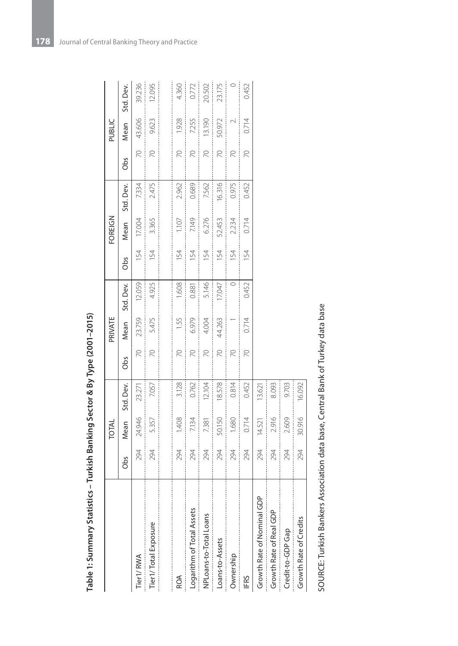| Table 1: Summary Statistics – Turkish Banking Sector & By Type (2001–2015) |     |        |           |                 |         |           |     |         |           |                 |        |           |
|----------------------------------------------------------------------------|-----|--------|-----------|-----------------|---------|-----------|-----|---------|-----------|-----------------|--------|-----------|
|                                                                            |     | TOTAL  |           |                 | PRIVATE |           |     | FOREIGN |           |                 | PUBLIC |           |
|                                                                            | Obs | Mean   | Std. Dev. | Obs             | Mean    | Std. Dev. | Obs | Mean    | Std. Dev. | Obs             | Mean   | Std. Dev. |
| Tier1/RWA                                                                  | 294 | 24.946 | 23.271    | $\overline{2}$  | 23.759  | 12.059    | 154 | 17.004  | 7.334     | R               | 43.606 | 39.236    |
| Tier1/Total Exposure                                                       | 294 | 5.357  | 7.057     | $\overline{2}$  | 5.475   | 4.925     | 154 | 3.365   | 2.475     | $\overline{C}$  | 9.623  | 12.095    |
|                                                                            |     |        |           |                 |         |           |     |         |           |                 |        |           |
| ROA                                                                        | 294 | 1.408  | 3.128     | $\approx$       | 1.55    | 1.608     | 154 | 1.107   | 2.962     | $\approx$       | 1.928  | 4.360     |
| Logarithm of Total Assets                                                  | 294 | 7.134  | 0.762     | $\approx$       | 6.979   | 0.881     | 154 | 7.149   | 0.689     | R               | 7.255  | 0.772     |
| NPLoans-to-Total Loans                                                     | 294 | 7.381  | 12.104    | $\approx$       | 4.004   | 5.146     | 154 | 6.276   | 7.562     | R               | 13.190 | 20.502    |
| Loans-to-Assets                                                            | 294 | 50.150 | 18.578    | $\approx$       | 44.263  | 17.047    | 154 | 52.453  | 16.316    | $\overline{2}$  | 50.972 | 23.175    |
| Ownership                                                                  | 294 | 1.680  | 0.814     | R               |         |           | 154 | 2.234   | 0.975     | R               | $\sim$ | $\circ$   |
| <b>IFRS</b>                                                                | 294 | 0.714  | 0.452     | $\overline{70}$ | 0.714   | 0.452     | 154 | 0.714   | 0.452     | $\overline{70}$ | 0.714  | 0.452     |
| Growth Rate of Nominal GDP                                                 | 294 | 14.521 | 13.621    |                 |         |           |     |         |           |                 |        |           |
| Growth Rate of Real GDP                                                    | 294 | 2.916  | 8.093     |                 |         |           |     |         |           |                 |        |           |
| Credit-to-GDP Gap                                                          | 294 | 2.609  | 9.703     |                 |         |           |     |         |           |                 |        |           |
| Growth Rate of Credits                                                     | 294 | 30.916 | 16.092    |                 |         |           |     |         |           |                 |        |           |

| マクマ            |
|----------------|
|                |
| $\overline{a}$ |
|                |
| Ï<br>l         |
|                |
| ۱              |
|                |
|                |
| I              |
|                |
|                |
|                |
|                |
|                |
|                |
|                |
|                |
|                |
|                |
|                |
|                |
|                |
|                |
|                |
|                |
| á              |
| ś              |

SOURCE: Turkish Bankers Association data base, Central Bank of Turkey data base SOURCE: Turkish Bankers Association data base, Central Bank of Turkey data base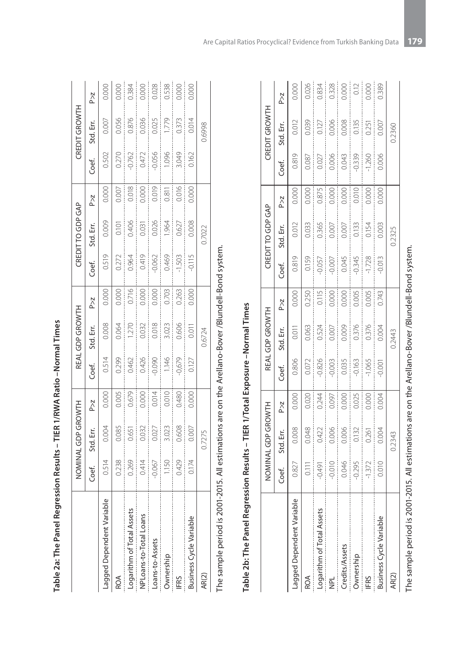|                                                     |                                                                              | NOMINAL GDP GROWTH |                                                                                     |                                                                                                  | REAL GDP GROWTH                        |                                                                        |                                                                            | CREDIT TO GDP GAP                                                                                                                                              |                                                                  |                                              | CREDIT GROWTH         |                                                                                                                                                                                                                                                                                                                                   |
|-----------------------------------------------------|------------------------------------------------------------------------------|--------------------|-------------------------------------------------------------------------------------|--------------------------------------------------------------------------------------------------|----------------------------------------|------------------------------------------------------------------------|----------------------------------------------------------------------------|----------------------------------------------------------------------------------------------------------------------------------------------------------------|------------------------------------------------------------------|----------------------------------------------|-----------------------|-----------------------------------------------------------------------------------------------------------------------------------------------------------------------------------------------------------------------------------------------------------------------------------------------------------------------------------|
|                                                     | Coef.                                                                        | Std. Err.          | P > Z                                                                               | Coef.                                                                                            | Std. Err.                              | $\geq$                                                                 | Coef.                                                                      | Std. Err.                                                                                                                                                      | $\geq$                                                           | Coef.                                        | Std. Err.             | P > Z                                                                                                                                                                                                                                                                                                                             |
| $\overline{\mathsf{C}}$<br>Lagged Dependent Variabl | 0.514                                                                        | 0.004              | 0.000                                                                               | 0.514                                                                                            | 0.008                                  | 0.000                                                                  | 0.519                                                                      | 0.009                                                                                                                                                          | 0.000                                                            | 0.502                                        | 0.007                 | 0.000                                                                                                                                                                                                                                                                                                                             |
| ROA                                                 |                                                                              | 0.085              | 0.005                                                                               | 0.299                                                                                            |                                        |                                                                        |                                                                            | 0.101                                                                                                                                                          | 0.007                                                            | 0.270                                        | 0.056                 |                                                                                                                                                                                                                                                                                                                                   |
| Logarithm of Total Assets                           | $\begin{array}{c c} 238 \\ 0269 \\ 0414 \\ 050 \\ 067 \\ \hline \end{array}$ | 0.651              | 0.679                                                                               |                                                                                                  | $\frac{0.064}{1.270}$                  | $rac{0.000}{0.716}$                                                    | $\begin{array}{c c} 0.772 \\ 0.964 \\ 0.49 \\ 0.060 \\ \hline \end{array}$ | 0.406                                                                                                                                                          | 0.018                                                            |                                              | 0.876                 | $\begin{array}{c c} 0.000 \\ -0.384 \\ -0.000 \\ -0.028 \\ -0.538 \\ -0.000 \\ -0.000 \\ -0.000 \\ -0.000 \\ -0.000 \\ -0.000 \\ -0.000 \\ -0.000 \\ -0.000 \\ -0.000 \\ -0.000 \\ -0.000 \\ -0.000 \\ -0.000 \\ -0.000 \\ -0.000 \\ -0.000 \\ -0.000 \\ -0.000 \\ -0.000 \\ -0.000 \\ -0.000 \\ -0.000 \\ -0.000 \\ -0.000 \\ -$ |
| NPLoans-to-Total Loans                              |                                                                              | $0.032$<br>$0.027$ |                                                                                     |                                                                                                  |                                        |                                                                        |                                                                            |                                                                                                                                                                |                                                                  |                                              |                       |                                                                                                                                                                                                                                                                                                                                   |
| Loans-to-Assets                                     |                                                                              | ĺ                  | $\begin{array}{c c} 0.000 \\ 0.014 \\ 0.010 \\ 0.480 \\ 0.480 \\ 0.000 \end{array}$ | $\begin{array}{c c}\n 0.462 \\ \hline\n 0.426 \\ \hline\n 0.090 \\ \hline\n 1.146\n \end{array}$ | $\frac{0.032}{0.018}$<br>$\frac{1}{1}$ | $\begin{tabular}{c} 0.000 \\ 0.000 \\ 0.703 \\ 0.263 \\ \end{tabular}$ |                                                                            | $\frac{0.031}{0.026}$                                                                                                                                          | $\begin{array}{c c} 0.000 \\ \hline 0.019 \\ \hline \end{array}$ | $-0.762$<br>$-0.472$<br>$-0.056$<br>$-0.056$ | $\frac{0.036}{0.025}$ |                                                                                                                                                                                                                                                                                                                                   |
| Ownership                                           |                                                                              | 3.023              |                                                                                     |                                                                                                  | $3.023$                                |                                                                        |                                                                            | 1.964                                                                                                                                                          | $\begin{array}{c} 0.811 \\ -0.811 \end{array}$                   | $\vdots$                                     |                       |                                                                                                                                                                                                                                                                                                                                   |
| IFRS                                                |                                                                              | 0.608              |                                                                                     | $-0,679$<br>0.127                                                                                | 0.606                                  |                                                                        |                                                                            | 0.627<br>$\begin{array}{c} \begin{array}{c} \begin{array}{c} \begin{array}{c} \end{array} \\ \begin{array}{c} \end{array} \end{array} \end{array} \end{array}$ | 0.016                                                            | $3.049$<br>0.162                             | $\frac{0.373}{0.014}$ |                                                                                                                                                                                                                                                                                                                                   |
| Business Cycle Variable                             |                                                                              | 0.007              |                                                                                     |                                                                                                  | 0.011                                  | 0.000                                                                  | $-0.115$                                                                   | 0.008                                                                                                                                                          | 0.000                                                            |                                              |                       |                                                                                                                                                                                                                                                                                                                                   |
| AR(2)                                               |                                                                              | 0.7275             |                                                                                     |                                                                                                  | 0.6724                                 |                                                                        |                                                                            | 0.7022                                                                                                                                                         |                                                                  |                                              | 0.6998                |                                                                                                                                                                                                                                                                                                                                   |
|                                                     |                                                                              |                    |                                                                                     |                                                                                                  |                                        |                                                                        |                                                                            |                                                                                                                                                                |                                                                  |                                              |                       |                                                                                                                                                                                                                                                                                                                                   |

| l             |
|---------------|
|               |
|               |
|               |
| Fire 4 / City |
| $\frac{1}{2}$ |
|               |
|               |
|               |
|               |
|               |
| ١             |
|               |
|               |
|               |
|               |
| ミニュー・コーン      |
|               |
| Ï<br>l        |
|               |

The sample period is 2001-2015. All estimations are on the Arellano-Bover /Blundell-Bond system. The sample period is 2001-2015. All estimations are on the Arellano-Bover /Blundell-Bond system.

# Table 2b: The Panel Regression Results - TIER 1/Total Exposure - Normal Times **Table 2b: The Panel Regression Results – TIER 1/Total Exposure –Normal Times**

|                                                    |                     | NOMINAL GDP GROWTH |            |                                                                                                                                                                   | REAL GDP GROWTH        |                                                                    |                         | CREDIT TO GDP GAP |                        |          | CREDIT GROWTH |                                                                                                                                                                |
|----------------------------------------------------|---------------------|--------------------|------------|-------------------------------------------------------------------------------------------------------------------------------------------------------------------|------------------------|--------------------------------------------------------------------|-------------------------|-------------------|------------------------|----------|---------------|----------------------------------------------------------------------------------------------------------------------------------------------------------------|
|                                                    | Coef.               | Std. Err.          | P > Z      | Coef.                                                                                                                                                             | Std. Err.              | P > Z                                                              | Coef.                   | Std. Err.         | P > Z                  | Coef.    | Std. Err.     | P > Z                                                                                                                                                          |
| $\overline{\mathsf{C}}$<br>Lagged Dependent Variab | 0.827               | 0.008              | 0.000      | 0.806                                                                                                                                                             | 0.011                  | 0.000                                                              | 0.819                   | 0.012             | 0.000                  | 0.819    | 0.012         | 0.000                                                                                                                                                          |
| <b>ROA</b>                                         | $\overline{=}$      | 0.048              | 0.020<br>Ì | 0.072                                                                                                                                                             | 0.063                  | 0.250                                                              | 0.159                   | 0.033             | 0.000<br>$\frac{1}{2}$ | 0.087    | 0.039         | $\begin{array}{c} \begin{array}{c} \begin{array}{c} \begin{array}{c} \end{array} \end{array} \\ \begin{array}{c} \end{array} \end{array} \end{array}$<br>0.026 |
| Logarithm of Total Assets                          | $\frac{491}{0.010}$ | 0.422              | 0.244      | $-0.826$<br>İ                                                                                                                                                     | 0.524                  | 0.115                                                              | $-0.057$<br>i<br>!<br>! | 0.365             | 0.875                  | 0.027    |               |                                                                                                                                                                |
| NPL                                                |                     | 0.006              | 0.097      | $-0.003$<br>$\begin{array}{c} \begin{array}{c} \begin{array}{c} \begin{array}{c} \end{array} \end{array} \\ \begin{array}{c} \end{array} \end{array} \end{array}$ | 0.007<br>$\ddot{}}$    | 0.000<br>$\begin{array}{c} \frac{1}{2} \\ \frac{1}{2} \end{array}$ | $-0.007$                | 0.007             | 0.000                  | 0.006    | 0.127         |                                                                                                                                                                |
| Credits/Assets                                     |                     | 0.006              | 0.000      | 0.035                                                                                                                                                             | 0.009                  | 0.000                                                              | 0.045                   | 0.007             | 0.000                  | 0.043    | 0.008         | 0.834<br>0.328<br>0.000                                                                                                                                        |
| Ownership                                          | $-0.295$            | 0.132              | 0.025      | $-0.163$<br>$\frac{1}{2}$                                                                                                                                         | 0.376                  | 0.005                                                              | $-0.345$                | 0.133             | 0.010 <sup>1</sup>     | $-0.339$ | 0.135         |                                                                                                                                                                |
| <b>IFRS</b>                                        | $-1.372$            | 0.261              | 0.000      | $-1.065$                                                                                                                                                          | 0.376                  | 0.005<br>$\vdots$                                                  | $-1.728$                | 0.154             | 0.000                  | $-1.260$ | 0.251         | $\frac{1}{2}$<br>0.000                                                                                                                                         |
| Business Cycle Variable                            | 0.010               | 0.004              | 0.004      | $-0.001$                                                                                                                                                          | 0.004<br>$\frac{1}{2}$ | 0.743                                                              | $-0.013$                | 0.003<br>$\vdots$ | 0.000                  | 0.006    | 0.007         | 0.389                                                                                                                                                          |
| AR <sub>(2)</sub>                                  |                     | 0.2343             |            |                                                                                                                                                                   | 0.2443                 |                                                                    |                         | 0.2325            |                        |          | 0.2360        |                                                                                                                                                                |
|                                                    |                     |                    |            |                                                                                                                                                                   |                        |                                                                    |                         |                   |                        |          |               |                                                                                                                                                                |